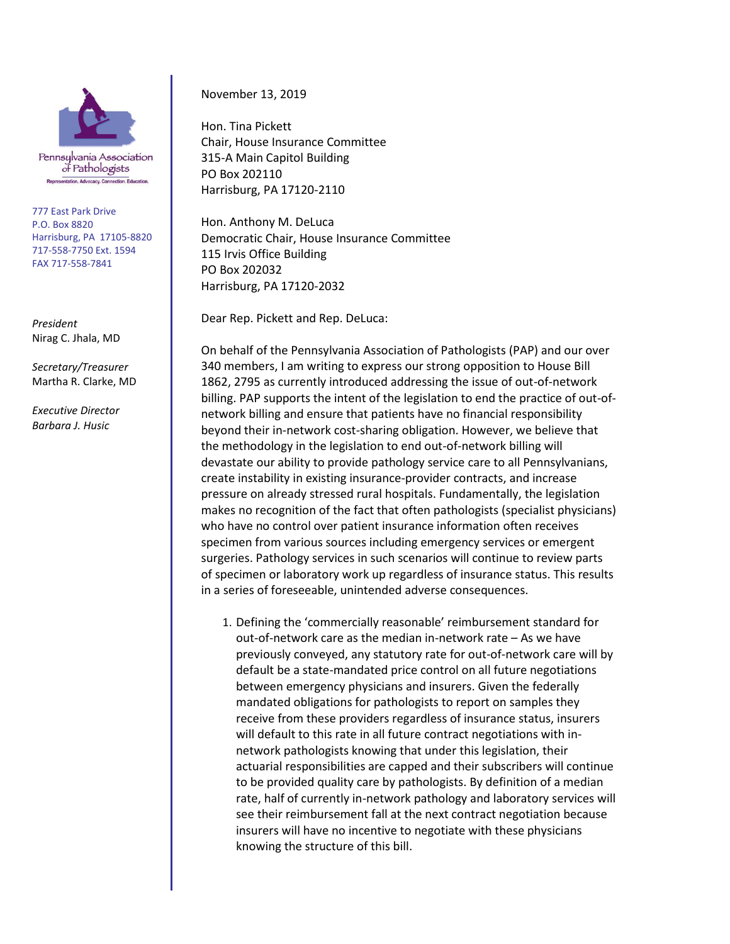

Pennsylvanía Association of Pathologists Representation. Advocacy. Connection. Education.

777 East Park Drive P.O. Box 8820 Harrisburg, PA 17105-8820 717-558-7750 Ext. 1594 FAX 717-558-7841

*President* Nirag C. Jhala, MD

*Secretary/Treasurer* Martha R. Clarke, MD

*Executive Director Barbara J. Husic*

November 13, 2019

Hon. Tina Pickett Chair, House Insurance Committee 315-A Main Capitol Building PO Box 202110 Harrisburg, PA 17120-2110

Hon. Anthony M. DeLuca Democratic Chair, House Insurance Committee 115 Irvis Office Building PO Box 202032 Harrisburg, PA 17120-2032

Dear Rep. Pickett and Rep. DeLuca:

On behalf of the Pennsylvania Association of Pathologists (PAP) and our over 340 members, I am writing to express our strong opposition to House Bill 1862, 2795 as currently introduced addressing the issue of out-of-network billing. PAP supports the intent of the legislation to end the practice of out-ofnetwork billing and ensure that patients have no financial responsibility beyond their in-network cost-sharing obligation. However, we believe that the methodology in the legislation to end out-of-network billing will devastate our ability to provide pathology service care to all Pennsylvanians, create instability in existing insurance-provider contracts, and increase pressure on already stressed rural hospitals. Fundamentally, the legislation makes no recognition of the fact that often pathologists (specialist physicians) who have no control over patient insurance information often receives specimen from various sources including emergency services or emergent surgeries. Pathology services in such scenarios will continue to review parts of specimen or laboratory work up regardless of insurance status. This results in a series of foreseeable, unintended adverse consequences.

1. Defining the 'commercially reasonable' reimbursement standard for out-of-network care as the median in-network rate – As we have previously conveyed, any statutory rate for out-of-network care will by default be a state-mandated price control on all future negotiations between emergency physicians and insurers. Given the federally mandated obligations for pathologists to report on samples they receive from these providers regardless of insurance status, insurers will default to this rate in all future contract negotiations with innetwork pathologists knowing that under this legislation, their actuarial responsibilities are capped and their subscribers will continue to be provided quality care by pathologists. By definition of a median rate, half of currently in-network pathology and laboratory services will see their reimbursement fall at the next contract negotiation because insurers will have no incentive to negotiate with these physicians knowing the structure of this bill.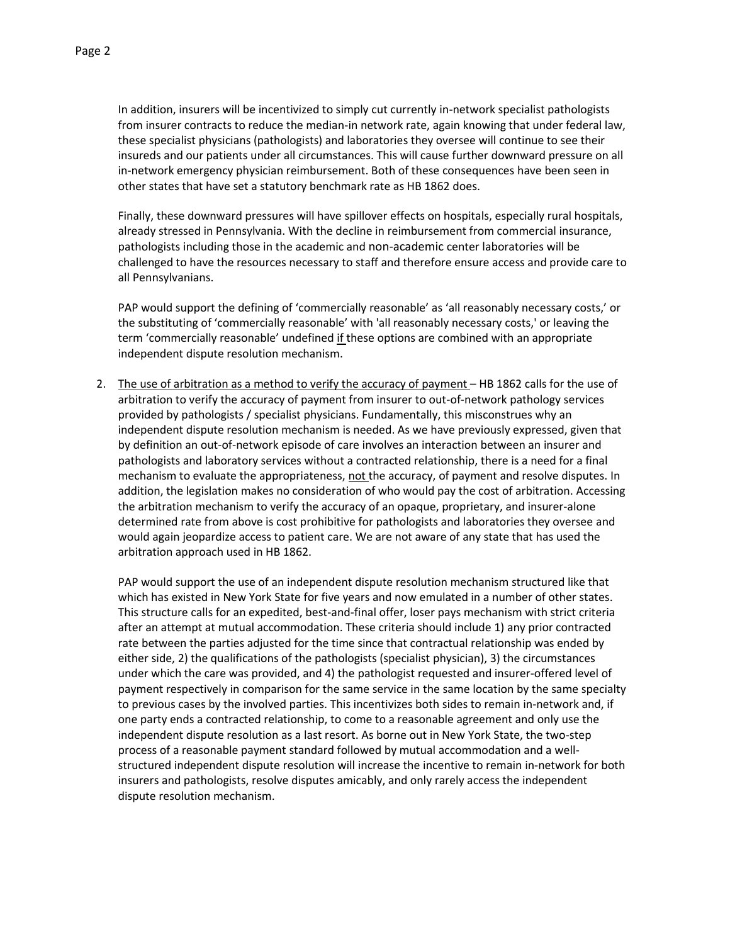In addition, insurers will be incentivized to simply cut currently in-network specialist pathologists from insurer contracts to reduce the median-in network rate, again knowing that under federal law, these specialist physicians (pathologists) and laboratories they oversee will continue to see their insureds and our patients under all circumstances. This will cause further downward pressure on all in-network emergency physician reimbursement. Both of these consequences have been seen in

other states that have set a statutory benchmark rate as HB 1862 does.

Finally, these downward pressures will have spillover effects on hospitals, especially rural hospitals, already stressed in Pennsylvania. With the decline in reimbursement from commercial insurance, pathologists including those in the academic and non-academic center laboratories will be challenged to have the resources necessary to staff and therefore ensure access and provide care to all Pennsylvanians.

PAP would support the defining of 'commercially reasonable' as 'all reasonably necessary costs,' or the substituting of 'commercially reasonable' with 'all reasonably necessary costs,' or leaving the term 'commercially reasonable' undefined if these options are combined with an appropriate independent dispute resolution mechanism.

2. The use of arbitration as a method to verify the accuracy of payment - HB 1862 calls for the use of arbitration to verify the accuracy of payment from insurer to out-of-network pathology services provided by pathologists / specialist physicians. Fundamentally, this misconstrues why an independent dispute resolution mechanism is needed. As we have previously expressed, given that by definition an out-of-network episode of care involves an interaction between an insurer and pathologists and laboratory services without a contracted relationship, there is a need for a final mechanism to evaluate the appropriateness, not the accuracy, of payment and resolve disputes. In addition, the legislation makes no consideration of who would pay the cost of arbitration. Accessing the arbitration mechanism to verify the accuracy of an opaque, proprietary, and insurer-alone determined rate from above is cost prohibitive for pathologists and laboratories they oversee and would again jeopardize access to patient care. We are not aware of any state that has used the arbitration approach used in HB 1862.

PAP would support the use of an independent dispute resolution mechanism structured like that which has existed in New York State for five years and now emulated in a number of other states. This structure calls for an expedited, best-and-final offer, loser pays mechanism with strict criteria after an attempt at mutual accommodation. These criteria should include 1) any prior contracted rate between the parties adjusted for the time since that contractual relationship was ended by either side, 2) the qualifications of the pathologists (specialist physician), 3) the circumstances under which the care was provided, and 4) the pathologist requested and insurer-offered level of payment respectively in comparison for the same service in the same location by the same specialty to previous cases by the involved parties. This incentivizes both sides to remain in-network and, if one party ends a contracted relationship, to come to a reasonable agreement and only use the independent dispute resolution as a last resort. As borne out in New York State, the two-step process of a reasonable payment standard followed by mutual accommodation and a wellstructured independent dispute resolution will increase the incentive to remain in-network for both insurers and pathologists, resolve disputes amicably, and only rarely access the independent dispute resolution mechanism.